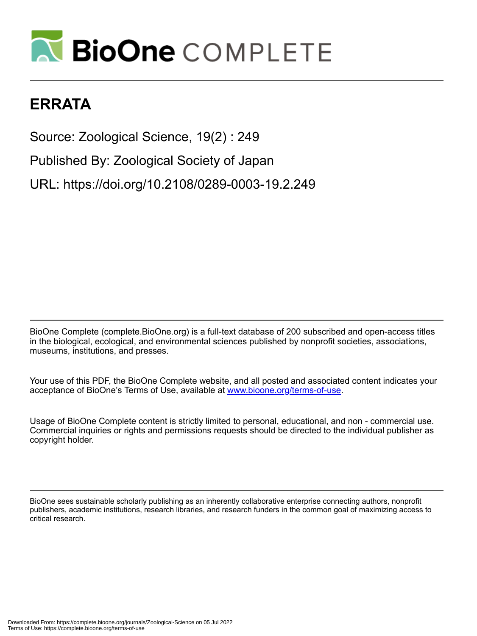## **N BioOne COMPLETE**

## **ERRATA**

Source: Zoological Science, 19(2) : 249 Published By: Zoological Society of Japan URL: https://doi.org/10.2108/0289-0003-19.2.249

BioOne Complete (complete.BioOne.org) is a full-text database of 200 subscribed and open-access titles in the biological, ecological, and environmental sciences published by nonprofit societies, associations, museums, institutions, and presses.

Your use of this PDF, the BioOne Complete website, and all posted and associated content indicates your acceptance of BioOne's Terms of Use, available at www.bioone.org/terms-of-use.

Usage of BioOne Complete content is strictly limited to personal, educational, and non - commercial use. Commercial inquiries or rights and permissions requests should be directed to the individual publisher as copyright holder.

BioOne sees sustainable scholarly publishing as an inherently collaborative enterprise connecting authors, nonprofit publishers, academic institutions, research libraries, and research funders in the common goal of maximizing access to critical research.